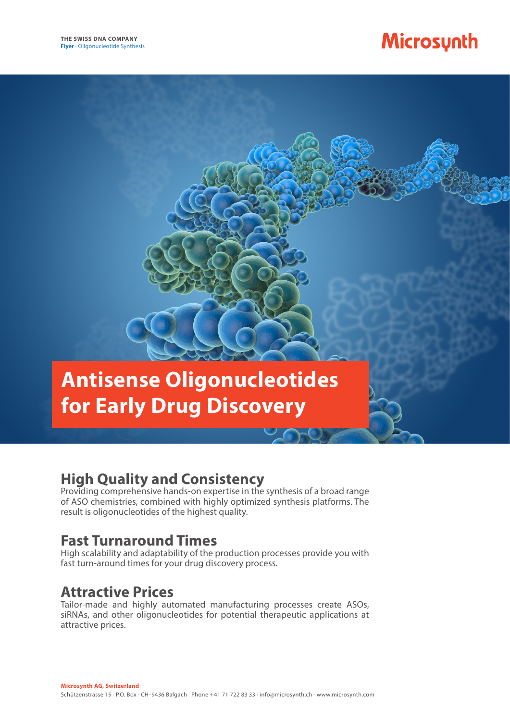# Microsynth

# **Antisense Oligonucleotides for Early Drug Discovery**

## **High Quality and Consistency**

Providing comprehensive hands-on expertise in the synthesis of a broad range of ASO chemistries, combined with highly optimized synthesis platforms. The result is oligonucleotides of the highest quality.

## **Fast Turnaround Times**

High scalability and adaptability of the production processes provide you with fast turn-around times for your drug discovery process.

## **Attractive Prices**

Tailor-made and highly automated manufacturing processes create ASOs, siRNAs, and other oligonucleotides for potential therapeutic applications at attractive prices.